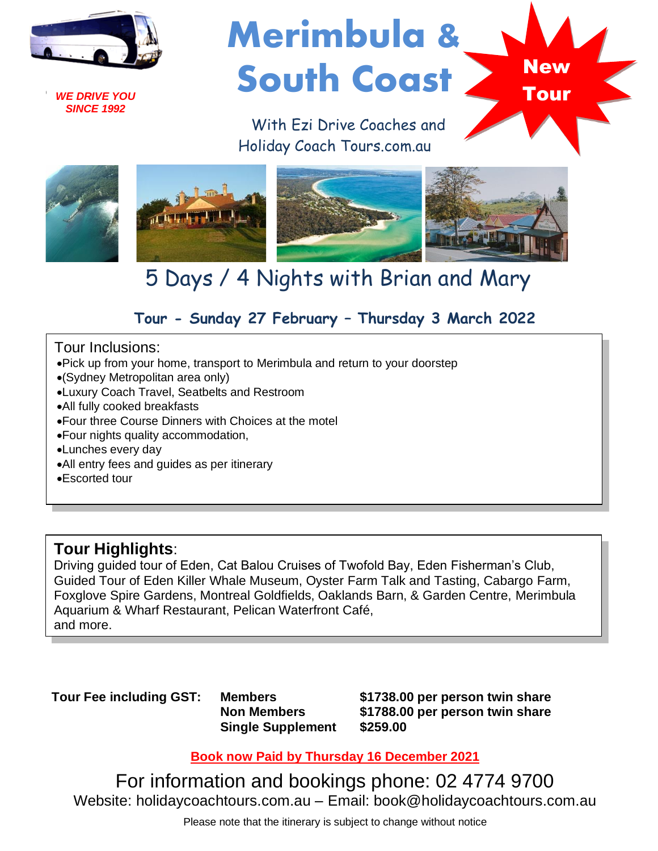

*WE DRIVE YOU SINCE 1992*

# Merimbula & South Coast

**New** 

Tour

 With Ezi Drive Coaches and Holiday Coach Tours.com.au



## 5 Days / 4 Nights with Brian and Mary

### **Tour - Sunday 27 February – Thursday 3 March 2022**

#### Tour Inclusions:

- •Pick up from your home, transport to Merimbula and return to your doorstep
- •(Sydney Metropolitan area only)
- •Luxury Coach Travel, Seatbelts and Restroom
- •All fully cooked breakfasts
- •Four three Course Dinners with Choices at the motel
- •Four nights quality accommodation,
- •Lunches every day
- •All entry fees and guides as per itinerary
- •Escorted tour

#### **Tour Highlights**:

Driving guided tour of Eden, Cat Balou Cruises of Twofold Bay, Eden Fisherman's Club, Guided Tour of Eden Killer Whale Museum, Oyster Farm Talk and Tasting, Cabargo Farm, Foxglove Spire Gardens, Montreal Goldfields, Oaklands Barn, & Garden Centre, Merimbula Aquarium & Wharf Restaurant, Pelican Waterfront Café, and more.

**Tour Fee including GST: Members**

**Non Members Single Supplement** **\$1738.00 per person twin share \$1788.00 per person twin share \$259.00**

**Book now Paid by Thursday 16 December 2021**

For information and bookings phone: 02 4774 9700 Website: holidaycoachtours.com.au – Email: book@holidaycoachtours.com.au

Please note that the itinerary is subject to change without notice